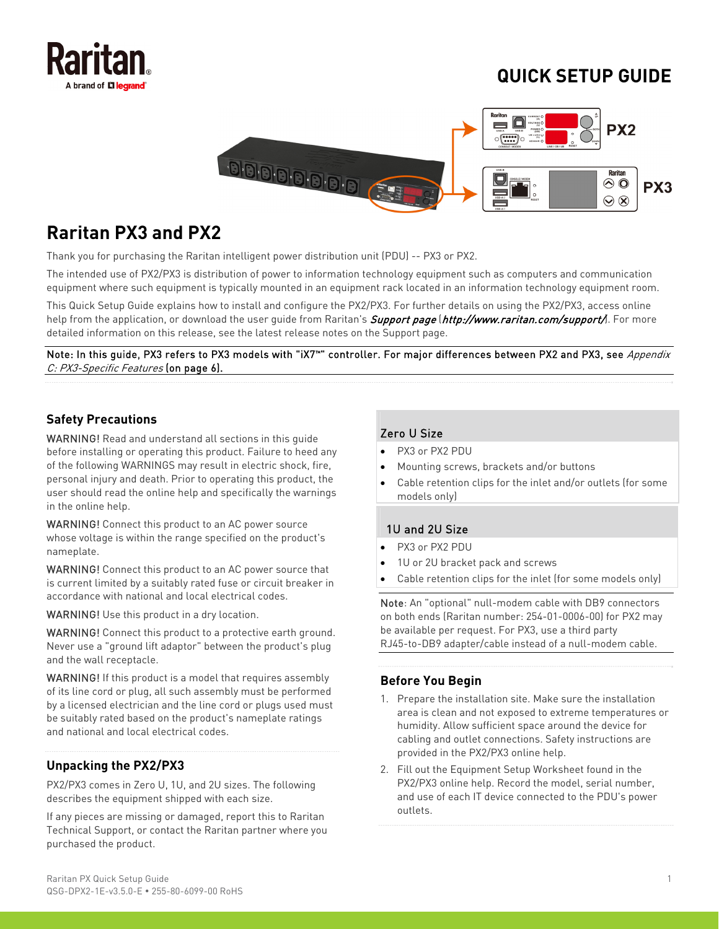

# **QUICK SETUP GUIDE**



# **Raritan PX3 and PX2**

Thank you for purchasing the Raritan intelligent power distribution unit (PDU) -- PX3 or PX2.

The intended use of PX2/PX3 is distribution of power to information technology equipment such as computers and communication equipment where such equipment is typically mounted in an equipment rack located in an information technology equipment room.

This Quick Setup Guide explains how to install and configure the PX2/PX3. For further details on using the PX2/PX3, access online help from the application, or download the user quide from Raritan's *Support page (<http://www.raritan.com/support/>*). For more detailed information on this release, see the latest release notes on the Support page.

Note: In this guide, PX3 refers to PX3 models with "iX7™" controller. For major differences between PX2 and PX3, see *Appendix* C: PX3-Specific Features (on page [6\)](#page-5-0).

# **Safety Precautions**

WARNING! Read and understand all sections in this guide before installing or operating this product. Failure to heed any of the following WARNINGS may result in electric shock, fire, personal injury and death. Prior to operating this product, the user should read the online help and specifically the warnings in the online help.

WARNING! Connect this product to an AC power source whose voltage is within the range specified on the product's nameplate.

WARNING! Connect this product to an AC power source that is current limited by a suitably rated fuse or circuit breaker in accordance with national and local electrical codes.

WARNING! Use this product in a dry location.

WARNING! Connect this product to a protective earth ground. Never use a "ground lift adaptor" between the product's plug and the wall receptacle.

WARNING! If this product is a model that requires assembly of its line cord or plug, all such assembly must be performed by a licensed electrician and the line cord or plugs used must be suitably rated based on the product's nameplate ratings and national and local electrical codes.

# **Unpacking the PX2/PX3**

PX2/PX3 comes in Zero U, 1U, and 2U sizes. The following describes the equipment shipped with each size.

If any pieces are missing or damaged, report this to Raritan Technical Support, or contact the Raritan partner where you purchased the product.

# Zero U Size

- PX3 or PX2 PDU
- Mounting screws, brackets and/or buttons
- Cable retention clips for the inlet and/or outlets (for some models only)

# 1U and 2U Size

- PX3 or PX2 PDU
- 1U or 2U bracket pack and screws
- Cable retention clips for the inlet (for some models only)

Note: An "optional" null-modem cable with DB9 connectors on both ends (Raritan number: 254-01-0006-00) for PX2 may be available per request. For PX3, use a third party RJ45-to-DB9 adapter/cable instead of a null-modem cable.

# **Before You Begin**

- 1. Prepare the installation site. Make sure the installation area is clean and not exposed to extreme temperatures or humidity. Allow sufficient space around the device for cabling and outlet connections. Safety instructions are provided in the PX2/PX3 online help.
- 2. Fill out the Equipment Setup Worksheet found in the PX2/PX3 online help. Record the model, serial number, and use of each IT device connected to the PDU's power outlets.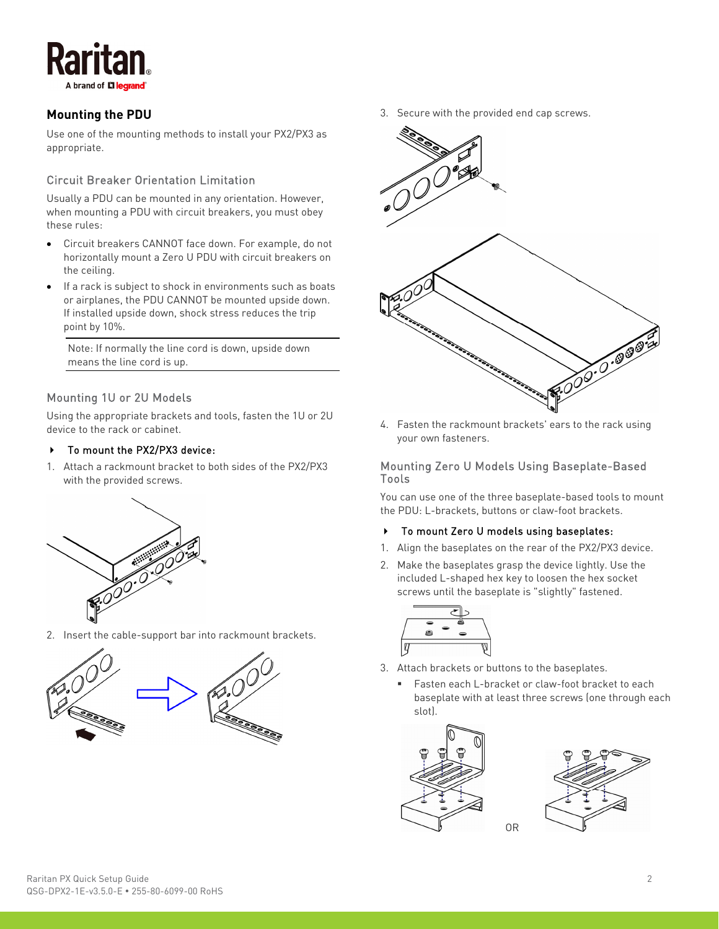

# **Mounting the PDU**

Use one of the mounting methods to install your PX2/PX3 as appropriate.

# Circuit Breaker Orientation Limitation

Usually a PDU can be mounted in any orientation. However, when mounting a PDU with circuit breakers, you must obey these rules:

- Circuit breakers CANNOT face down. For example, do not horizontally mount a Zero U PDU with circuit breakers on the ceiling.
- If a rack is subject to shock in environments such as boats or airplanes, the PDU CANNOT be mounted upside down. If installed upside down, shock stress reduces the trip point by 10%.

Note: If normally the line cord is down, upside down means the line cord is up.

# Mounting 1U or 2U Models

Using the appropriate brackets and tools, fasten the 1U or 2U device to the rack or cabinet.

#### To mount the PX2/PX3 device:

1. Attach a rackmount bracket to both sides of the PX2/PX3 with the provided screws.



2. Insert the cable-support bar into rackmount brackets.



3. Secure with the provided end cap screws.



4. Fasten the rackmount brackets' ears to the rack using your own fasteners.

#### Mounting Zero U Models Using Baseplate-Based Tools

You can use one of the three baseplate-based tools to mount the PDU: L-brackets, buttons or claw-foot brackets.

#### ▶ To mount Zero U models using baseplates:

- 1. Align the baseplates on the rear of the PX2/PX3 device.
- 2. Make the baseplates grasp the device lightly. Use the included L-shaped hex key to loosen the hex socket screws until the baseplate is "slightly" fastened.



- 3. Attach brackets or buttons to the baseplates.
	- Fasten each L-bracket or claw-foot bracket to each baseplate with at least three screws (one through each slot).



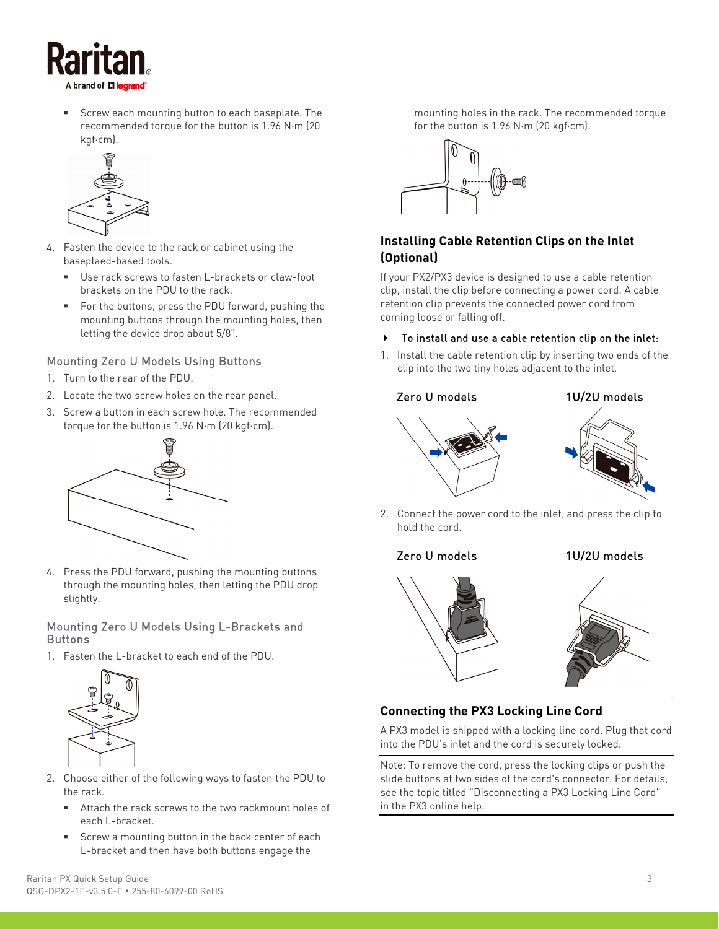

 Screw each mounting button to each baseplate. The recommended torque for the button is 1.96 N·m (20 kgf·cm).



- 4. Fasten the device to the rack or cabinet using the baseplaed-based tools.
	- Use rack screws to fasten L-brackets or claw-foot brackets on the PDU to the rack.
	- For the buttons, press the PDU forward, pushing the mounting buttons through the mounting holes, then letting the device drop about 5/8".

# Mounting Zero U Models Using Buttons

- 1. Turn to the rear of the PDU.
- 2. Locate the two screw holes on the rear panel.
- 3. Screw a button in each screw hole. The recommended torque for the button is 1.96 N·m (20 kgf·cm).



4. Press the PDU forward, pushing the mounting buttons through the mounting holes, then letting the PDU drop slightly.

### Mounting Zero U Models Using L-Brackets and **Buttons**

1. Fasten the L-bracket to each end of the PDU.



- 2. Choose either of the following ways to fasten the PDU to the rack.
	- Attach the rack screws to the two rackmount holes of each L-bracket.
	- Screw a mounting button in the back center of each L-bracket and then have both buttons engage the

mounting holes in the rack. The recommended torque for the button is 1.96 N·m (20 kgf·cm).



# **Installing Cable Retention Clips on the Inlet (Optional)**

If your PX2/PX3 device is designed to use a cable retention clip, install the clip before connecting a power cord. A cable retention clip prevents the connected power cord from coming loose or falling off.

- To install and use a cable retention clip on the inlet:
- 1. Install the cable retention clip by inserting two ends of the clip into the two tiny holes adjacent to the inlet.

### Zero U models 1U/2U models





2. Connect the power cord to the inlet, and press the clip to hold the cord.

#### Zero U models 1U/2U models





# **Connecting the PX3 Locking Line Cord**

A PX3 model is shipped with a locking line cord. Plug that cord into the PDU's inlet and the cord is securely locked.

Note: To remove the cord, press the locking clips or push the slide buttons at two sides of the cord's connector. For details, see the topic titled "Disconnecting a PX3 Locking Line Cord" in the PX3 online help.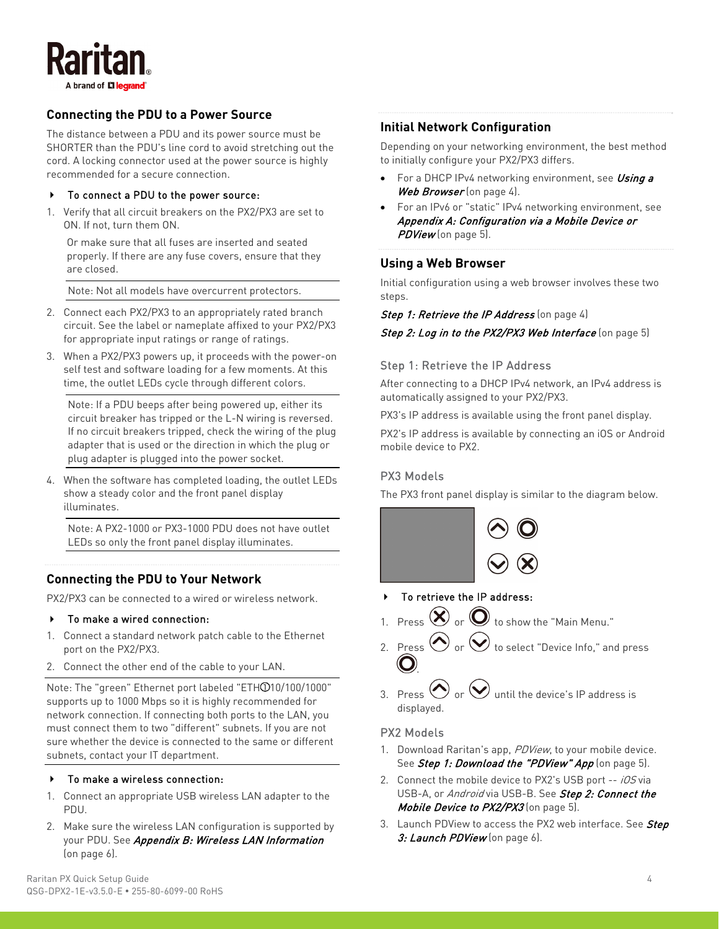

# **Connecting the PDU to a Power Source**

The distance between a PDU and its power source must be SHORTER than the PDU's line cord to avoid stretching out the cord. A locking connector used at the power source is highly recommended for a secure connection.

#### To connect a PDU to the power source:

<span id="page-3-0"></span>1. Verify that all circuit breakers on the PX2/PX3 are set to ON. If not, turn them ON.

Or make sure that all fuses are inserted and seated properly. If there are any fuse covers, ensure that they are closed.

Note: Not all models have overcurrent protectors.

- 2. Connect each PX2/PX3 to an appropriately rated branch circuit. See the label or nameplate affixed to your PX2/PX3 for appropriate input ratings or range of ratings.
- <span id="page-3-1"></span>3. When a PX2/PX3 powers up, it proceeds with the power-on self test and software loading for a few moments. At this time, the outlet LEDs cycle through different colors.

Note: If a PDU beeps after being powered up, either its circuit breaker has tripped or the L-N wiring is reversed. If no circuit breakers tripped, check the wiring of the plug adapter that is used or the direction in which the plug or plug adapter is plugged into the power socket.

4. When the software has completed loading, the outlet LEDs show a steady color and the front panel display illuminates.

Note: A PX2-1000 or PX3-1000 PDU does not have outlet LEDs so only the front panel display illuminates.

#### **Connecting the PDU to Your Network**

PX2/PX3 can be connected to a wired or wireless network.

#### To make a wired connection:

- 1. Connect a standard network patch cable to the Ethernet port on the PX2/PX3.
- 2. Connect the other end of the cable to your LAN.

Note: The "green" Ethernet port labeled "ETH 010/100/1000" supports up to 1000 Mbps so it is highly recommended for network connection. If connecting both ports to the LAN, you must connect them to two "different" subnets. If you are not sure whether the device is connected to the same or different subnets, contact your IT department.

#### ▶ To make a wireless connection:

- 1. Connect an appropriate USB wireless LAN adapter to the PDU.
- 2. Make sure the wireless LAN configuration is supported by your PDU. See Appendix B: Wireless LAN Information (on page [6](#page-5-1)).

### **Initial Network Configuration**

Depending on your networking environment, the best method to initially configure your PX2/PX3 differs.

- For a DHCP IPv4 networking environment, see Using a Web Browser (on page [4\)](#page-3-0).
- For an IPv6 or "static" IPv4 networking environment, see Appendix A: Configuration via a Mobile Device or PDView (on page [5](#page-4-0)).

#### **Using a Web Browser**

Initial configuration using a web browser involves these two steps.

#### Step 1: Retrieve the IP Address (on page [4](#page-3-1))

Step 2: Log in to the PX2/PX3 Web Interface (on page [5\)](#page-4-1)

#### Step 1: Retrieve the IP Address

After connecting to a DHCP IPv4 network, an IPv4 address is automatically assigned to your PX2/PX3.

PX3's IP address is available using the front panel display.

PX2's IP address is available by connecting an iOS or Android mobile device to PX2.

#### PX3 Models

The PX3 front panel display is similar to the diagram below.



- To retrieve the IP address:
- 1. Press  $\left\langle \mathbf{X} \right\rangle$  or  $\mathbf{Q}$  to show the "Main Menu."
- 2. Press  $\bigcirc$  or  $\bigcirc$  to select "Device Info," and press .
- 3. Press  $\bigcirc$  or  $\bigcirc$  until the device's IP address is displayed.

#### PX2 Models

- 1. Download Raritan's app, PDView, to your mobile device. See Step 1: Download the "PDView" App (on page [5\)](#page-4-2).
- 2. Connect the mobile device to PX2's USB port -- iOS via USB-A, or Android via USB-B. See Step 2: Connect the Mobile Device to PX2/PX3 (on page [5\)](#page-4-3).
- 3. Launch PDView to access the PX2 web interface. See Step 3: Launch PDView (on page [6](#page-5-2)).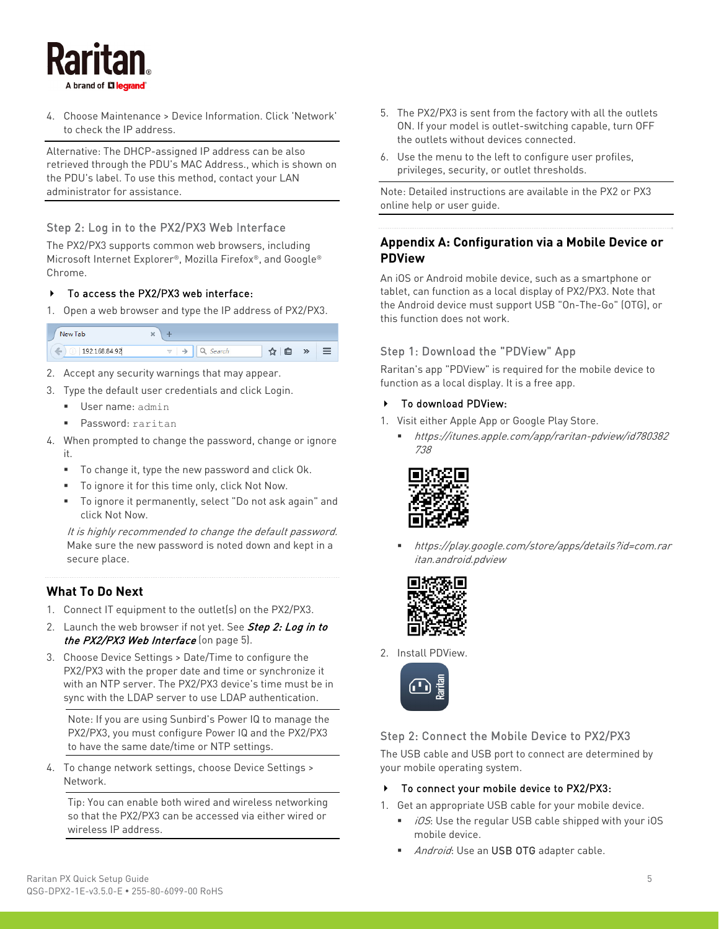

4. Choose Maintenance > Device Information. Click 'Network' to check the IP address.

Alternative: The DHCP-assigned IP address can be also retrieved through the PDU's MAC Address., which is shown on the PDU's label. To use this method, contact your LAN administrator for assistance.

### <span id="page-4-1"></span>Step 2: Log in to the PX2/PX3 Web Interface

<span id="page-4-0"></span>The PX2/PX3 supports common web browsers, including Microsoft Internet Explorer®, Mozilla Firefox®, and Google® Chrome.

#### ▶ To access the PX2/PX3 web interface:

1. Open a web browser and type the IP address of PX2/PX3.

<span id="page-4-2"></span>

- 2. Accept any security warnings that may appear.
- 3. Type the default user credentials and click Login.
	- User name: admin
	- Password: raritan
- 4. When prompted to change the password, change or ignore it.
	- To change it, type the new password and click Ok.
	- To ignore it for this time only, click Not Now.
	- To ignore it permanently, select "Do not ask again" and click Not Now.

It is highly recommended to change the default password. Make sure the new password is noted down and kept in a secure place.

#### **What To Do Next**

- 1. Connect IT equipment to the outlet(s) on the PX2/PX3.
- 2. Launch the web browser if not yet. See Step 2: Log in to the PX2/PX3 Web Interface (on page [5\)](#page-4-1).
- 3. Choose Device Settings > Date/Time to configure the PX2/PX3 with the proper date and time or synchronize it with an NTP server. The PX2/PX3 device's time must be in sync with the LDAP server to use LDAP authentication.

Note: If you are using Sunbird's Power IQ to manage the PX2/PX3, you must configure Power IQ and the PX2/PX3 to have the same date/time or NTP settings.

<span id="page-4-3"></span>4. To change network settings, choose Device Settings > Network.

Tip: You can enable both wired and wireless networking so that the PX2/PX3 can be accessed via either wired or wireless IP address.

- 5. The PX2/PX3 is sent from the factory with all the outlets ON. If your model is outlet-switching capable, turn OFF the outlets without devices connected.
- 6. Use the menu to the left to configure user profiles, privileges, security, or outlet thresholds.

Note: Detailed instructions are available in the PX2 or PX3 online help or user guide.

# **Appendix A: Configuration via a Mobile Device or PDView**

An iOS or Android mobile device, such as a smartphone or tablet, can function as a local display of PX2/PX3. Note that the Android device must support USB "On-The-Go" (OTG), or this function does not work.

#### Step 1: Download the "PDView" App

Raritan's app "PDView" is required for the mobile device to function as a local display. It is a free app.

#### ▶ To download PDView:

- 1. Visit either Apple App or Google Play Store.
	- https://itunes.apple.com/app/raritan-pdview/id780382 738



 https://play.google.com/store/apps/details?id=com.rar itan.android.pdview



2. Install PDView.



#### Step 2: Connect the Mobile Device to PX2/PX3

The USB cable and USB port to connect are determined by your mobile operating system.

#### ▶ To connect your mobile device to PX2/PX3:

1. Get an appropriate USB cable for your mobile device.

- iOS: Use the regular USB cable shipped with your iOS mobile device.
- Android: Use an USB OTG adapter cable.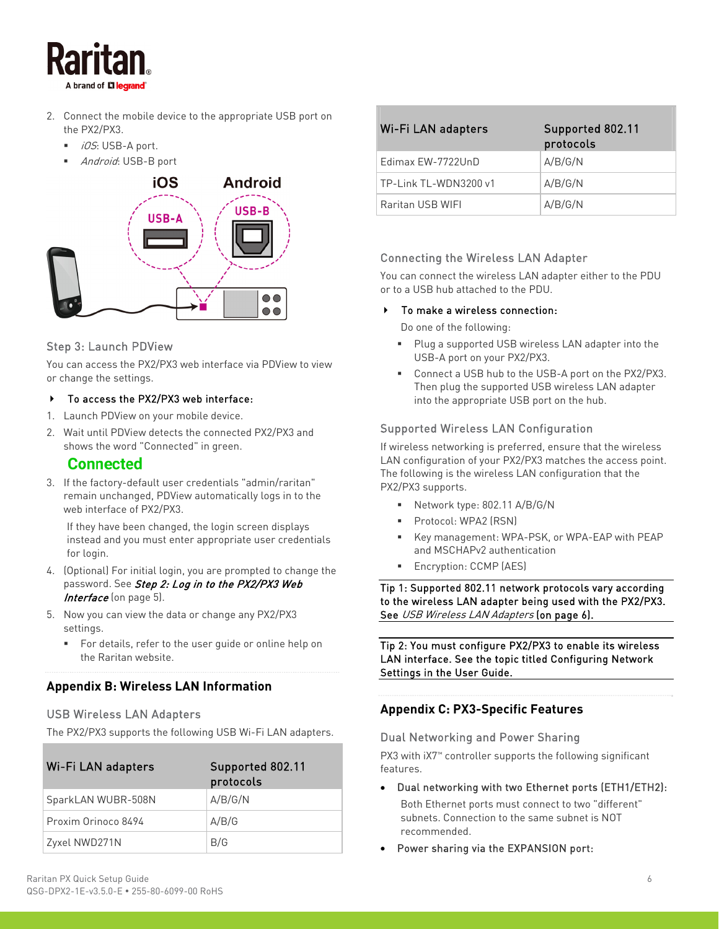

- 2. Connect the mobile device to the appropriate USB port on the PX2/PX3.
	- $\blacksquare$  *iOS*: USB-A port.
	- Android: USB-B port



# <span id="page-5-2"></span>Step 3: Launch PDView

You can access the PX2/PX3 web interface via PDVie or change the settings.

#### To access the PX2/PX3 web interface:

- 1. Launch PDView on your mobile device.
- 2. Wait until PDView detects the connected PX2/PX3 and shows the word "Connected" in green.

# **Connected**

3. If the factory-default user credentials "admin/raritan" remain unchanged, PDView automatically logs in to the web interface of PX2/PX3.

If they have been changed, the login screen displays instead and you must enter appropriate user credentials for login.

- 4. (Optional) For initial login, you are prompted to change the password. See Step 2: Log in to the PX2/PX3 Web Interface (on page [5](#page-4-1)).
- 5. Now you can view the data or change any PX2/PX3 settings.
	- For details, refer to the user guide or online help on the Raritan website.

# <span id="page-5-1"></span>**Appendix B: Wireless LAN Information**

# <span id="page-5-3"></span><span id="page-5-0"></span>USB Wireless LAN Adapters

The PX2/PX3 supports the following USB Wi-Fi LAN adapters.

| Wi-Fi LAN adapters  | Supported 802.11<br>protocols |
|---------------------|-------------------------------|
| SparkLAN WUBR-508N  | A/B/G/N                       |
| Proxim Orinoco 8494 | A/B/G                         |
| Zyxel NWD271N       | B/G                           |

|            | To make a wireless connection:                                                                                                                       |  |
|------------|------------------------------------------------------------------------------------------------------------------------------------------------------|--|
|            | Do one of the following:                                                                                                                             |  |
| ew to view | • Plug a supported USB wireless LAN adapter into the<br>USB-A port on your PX2/PX3.                                                                  |  |
|            | • Connect a USB hub to the USB-A port on the PX2/PX<br>Then plug the supported USB wireless LAN adapter<br>into the appropriate USB port on the hub. |  |

### Supported Wireless LAN Configuration

If wireless networking is preferred, ensure that the wireless LAN configuration of your PX2/PX3 matches the access point. The following is the wireless LAN configuration that the PX2/PX3 supports.

Wi-Fi LAN adapters Supported 802.11

Edimax EW-7722UnD  $A/B/G/N$ TP-Link TL-WDN3200 v1  $\vert$  A/B/G/N Raritan USB WIFI A/B/G/N

Connecting the Wireless LAN Adapter

or to a USB hub attached to the PDU.

You can connect the wireless LAN adapter either to the PDU

protocols

into the

PX2/PX3.

- Network type: 802.11 A/B/G/N
- Protocol: WPA2 (RSN)
- Key management: WPA-PSK, or WPA-EAP with PEAP and MSCHAPv2 authentication
- Encryption: CCMP (AES)

Tip 1: Supported 802.11 network protocols vary according to the wireless LAN adapter being used with the PX2/PX3. See USB Wireless LAN Adapters (on page [6](#page-5-3)).

Tip 2: You must configure PX2/PX3 to enable its wireless LAN interface. See the topic titled Configuring Network Settings in the User Guide.

# **Appendix C: PX3-Specific Features**

#### Dual Networking and Power Sharing

PX3 with iX7™ controller supports the following significant features.

Dual networking with two Ethernet ports (ETH1/ETH2):

Both Ethernet ports must connect to two "different" subnets. Connection to the same subnet is NOT recommended.

Power sharing via the EXPANSION port: